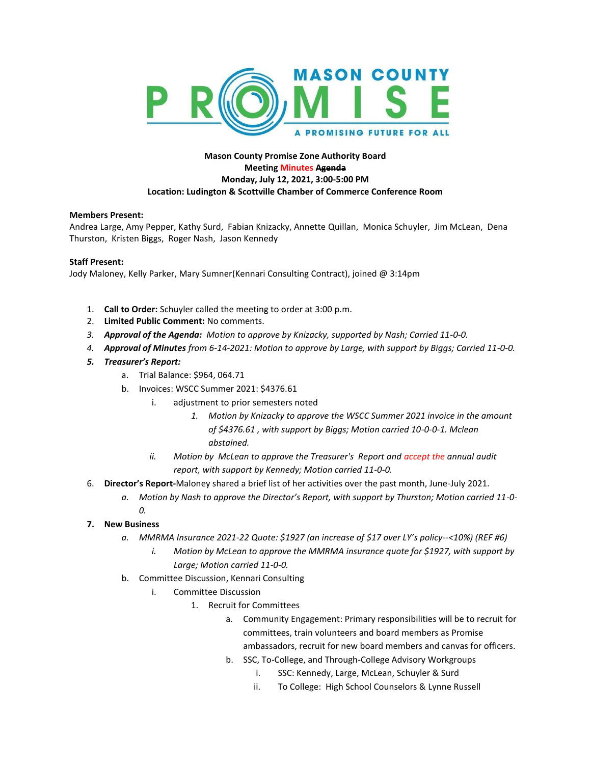

## **Mason County Promise Zone Authority Board Meeting Minutes Agenda Monday, July 12, 2021, 3:00-5:00 PM Location: Ludington & Scottville Chamber of Commerce Conference Room**

## **Members Present:**

Andrea Large, Amy Pepper, Kathy Surd, Fabian Knizacky, Annette Quillan, Monica Schuyler, Jim McLean, Dena Thurston, Kristen Biggs, Roger Nash, Jason Kennedy

## **Staff Present:**

Jody Maloney, Kelly Parker, Mary Sumner(Kennari Consulting Contract), joined @ 3:14pm

- 1. **Call to Order:** Schuyler called the meeting to order at 3:00 p.m.
- 2. **Limited Public Comment:** No comments.
- *3. Approval of the Agenda: Motion to approve by Knizacky, supported by Nash; Carried 11-0-0.*
- *4. Approval of Minutes from 6-14-2021: Motion to approve by Large, with support by Biggs; Carried 11-0-0.*
- *5. Treasurer's Report:* 
	- a. Trial Balance: \$964, 064.71
	- b. Invoices: WSCC Summer 2021: \$4376.61
		- i. adjustment to prior semesters noted
			- *1. Motion by Knizacky to approve the WSCC Summer 2021 invoice in the amount of \$4376.61 , with support by Biggs; Motion carried 10-0-0-1. Mclean abstained.*
		- *ii. Motion by McLean to approve the Treasurer's Report and accept the annual audit report, with support by Kennedy; Motion carried 11-0-0.*
- 6. **Director's Report-**Maloney shared a brief list of her activities over the past month, June-July 2021.
	- *a. Motion by Nash to approve the Director's Report, with support by Thurston; Motion carried 11-0- 0.*
- **7. New Business**
	- *a. MMRMA Insurance 2021-22 Quote: \$1927 (an increase of \$17 over LY's policy--<10%) (REF #6)*
		- *i. Motion by McLean to approve the MMRMA insurance quote for \$1927, with support by Large; Motion carried 11-0-0.*
	- b. Committee Discussion, Kennari Consulting
		- i. Committee Discussion
			- 1. Recruit for Committees
				- a. Community Engagement: Primary responsibilities will be to recruit for committees, train volunteers and board members as Promise ambassadors, recruit for new board members and canvas for officers.
				- b. SSC, To-College, and Through-College Advisory Workgroups
					- i. SSC: Kennedy, Large, McLean, Schuyler & Surd
					- ii. To College: High School Counselors & Lynne Russell